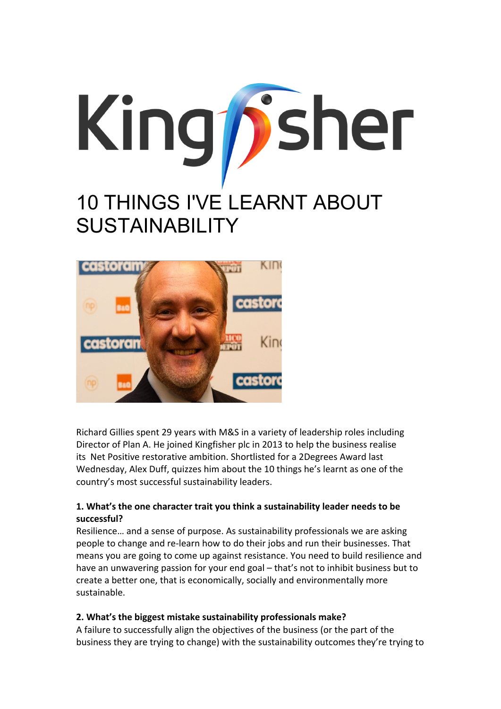# Kingfjsher

# 10 THINGS I'VE LEARNT ABOUT SUSTAINABILITY



Richard Gillies spent 29 years with M&S in a variety of leadership roles including Director of Plan A. He joined Kingfisher plc in 2013 to help the business realise its Net Positive restorative ambition. Shortlisted for a 2Degrees Award last Wednesday, Alex Duff, quizzes him about the 10 things he's learnt as one of the country's most successful sustainability leaders.

# 1. What's the one character trait you think a sustainability leader needs to be **successful?**

Resilience... and a sense of purpose. As sustainability professionals we are asking people to change and re-learn how to do their jobs and run their businesses. That means you are going to come up against resistance. You need to build resilience and have an unwavering passion for your end goal – that's not to inhibit business but to create a better one, that is economically, socially and environmentally more sustainable.

# 2. What's the biggest mistake sustainability professionals make?

A failure to successfully align the objectives of the business (or the part of the business they are trying to change) with the sustainability outcomes they're trying to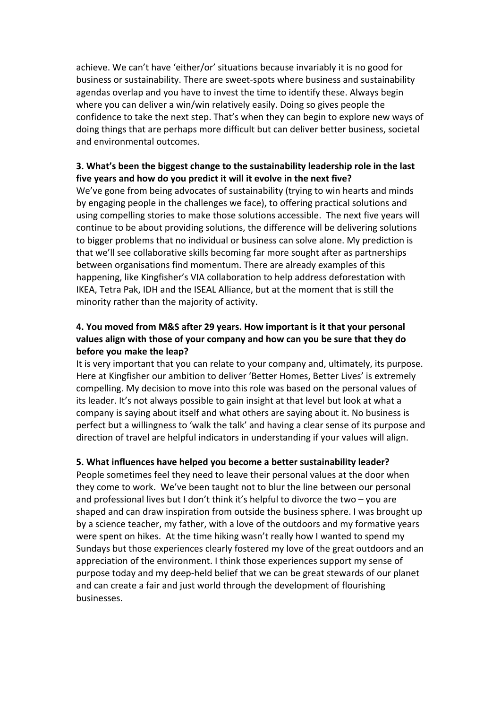achieve. We can't have 'either/or' situations because invariably it is no good for business or sustainability. There are sweet-spots where business and sustainability agendas overlap and you have to invest the time to identify these. Always begin where you can deliver a win/win relatively easily. Doing so gives people the confidence to take the next step. That's when they can begin to explore new ways of doing things that are perhaps more difficult but can deliver better business, societal and environmental outcomes.

## **3.** What's been the biggest change to the sustainability leadership role in the last five years and how do you predict it will it evolve in the next five?

We've gone from being advocates of sustainability (trying to win hearts and minds by engaging people in the challenges we face), to offering practical solutions and using compelling stories to make those solutions accessible. The next five years will continue to be about providing solutions, the difference will be delivering solutions to bigger problems that no individual or business can solve alone. My prediction is that we'll see collaborative skills becoming far more sought after as partnerships between organisations find momentum. There are already examples of this happening, like Kingfisher's VIA collaboration to help address deforestation with IKEA, Tetra Pak, IDH and the ISEAL Alliance, but at the moment that is still the minority rather than the majority of activity.

# **4. You moved from M&S after 29 years. How important is it that your personal** values align with those of your company and how can you be sure that they do **before you make the leap?**

It is very important that you can relate to your company and, ultimately, its purpose. Here at Kingfisher our ambition to deliver 'Better Homes, Better Lives' is extremely compelling. My decision to move into this role was based on the personal values of its leader. It's not always possible to gain insight at that level but look at what a company is saying about itself and what others are saying about it. No business is perfect but a willingness to 'walk the talk' and having a clear sense of its purpose and direction of travel are helpful indicators in understanding if your values will align.

#### **5.** What influences have helped you become a better sustainability leader?

People sometimes feel they need to leave their personal values at the door when they come to work. We've been taught not to blur the line between our personal and professional lives but I don't think it's helpful to divorce the two – you are shaped and can draw inspiration from outside the business sphere. I was brought up by a science teacher, my father, with a love of the outdoors and my formative years were spent on hikes. At the time hiking wasn't really how I wanted to spend my Sundays but those experiences clearly fostered my love of the great outdoors and an appreciation of the environment. I think those experiences support my sense of purpose today and my deep-held belief that we can be great stewards of our planet and can create a fair and just world through the development of flourishing businesses.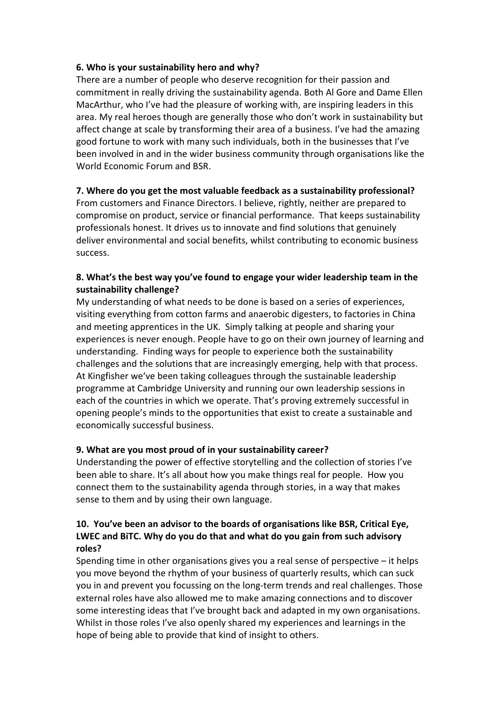## **6.** Who is your sustainability hero and why?

There are a number of people who deserve recognition for their passion and commitment in really driving the sustainability agenda. Both AI Gore and Dame Ellen MacArthur, who I've had the pleasure of working with, are inspiring leaders in this area. My real heroes though are generally those who don't work in sustainability but affect change at scale by transforming their area of a business. I've had the amazing good fortune to work with many such individuals, both in the businesses that I've been involved in and in the wider business community through organisations like the World Economic Forum and BSR.

# **7.** Where do you get the most valuable feedback as a sustainability professional?

From customers and Finance Directors. I believe, rightly, neither are prepared to compromise on product, service or financial performance. That keeps sustainability professionals honest. It drives us to innovate and find solutions that genuinely deliver environmental and social benefits, whilst contributing to economic business success.

# **8.** What's the best way you've found to engage your wider leadership team in the **sustainability challenge?**

My understanding of what needs to be done is based on a series of experiences, visiting everything from cotton farms and anaerobic digesters, to factories in China and meeting apprentices in the UK. Simply talking at people and sharing your experiences is never enough. People have to go on their own journey of learning and understanding. Finding ways for people to experience both the sustainability challenges and the solutions that are increasingly emerging, help with that process. At Kingfisher we've been taking colleagues through the sustainable leadership programme at Cambridge University and running our own leadership sessions in each of the countries in which we operate. That's proving extremely successful in opening people's minds to the opportunities that exist to create a sustainable and economically successful business.

# **9. What are you most proud of in your sustainability career?**

Understanding the power of effective storytelling and the collection of stories I've been able to share. It's all about how you make things real for people. How you connect them to the sustainability agenda through stories, in a way that makes sense to them and by using their own language.

# **10. You've been an advisor to the boards of organisations like BSR, Critical Eye,** LWEC and BiTC. Why do you do that and what do you gain from such advisory **roles?**

Spending time in other organisations gives you a real sense of perspective  $-$  it helps you move beyond the rhythm of your business of quarterly results, which can suck you in and prevent you focussing on the long-term trends and real challenges. Those external roles have also allowed me to make amazing connections and to discover some interesting ideas that I've brought back and adapted in my own organisations. Whilst in those roles I've also openly shared my experiences and learnings in the hope of being able to provide that kind of insight to others.